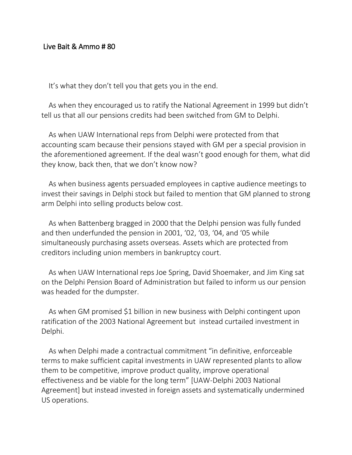## Live Bait & Ammo # 80

It's what they don't tell you that gets you in the end.

As when they encouraged us to ratify the National Agreement in 1999 but didn't tell us that all our pensions credits had been switched from GM to Delphi.

As when UAW International reps from Delphi were protected from that accounting scam because their pensions stayed with GM per a special provision in the aforementioned agreement. If the deal wasn't good enough for them, what did they know, back then, that we don't know now?

As when business agents persuaded employees in captive audience meetings to invest their savings in Delphi stock but failed to mention that GM planned to strong arm Delphi into selling products below cost.

As when Battenberg bragged in 2000 that the Delphi pension was fully funded and then underfunded the pension in 2001, '02, '03, '04, and '05 while simultaneously purchasing assets overseas. Assets which are protected from creditors including union members in bankruptcy court.

As when UAW International reps Joe Spring, David Shoemaker, and Jim King sat on the Delphi Pension Board of Administration but failed to inform us our pension was headed for the dumpster.

As when GM promised \$1 billion in new business with Delphi contingent upon ratification of the 2003 National Agreement but instead curtailed investment in Delphi.

As when Delphi made a contractual commitment "in definitive, enforceable terms to make sufficient capital investments in UAW represented plants to allow them to be competitive, improve product quality, improve operational effectiveness and be viable for the long term" [UAW-Delphi 2003 National Agreement] but instead invested in foreign assets and systematically undermined US operations.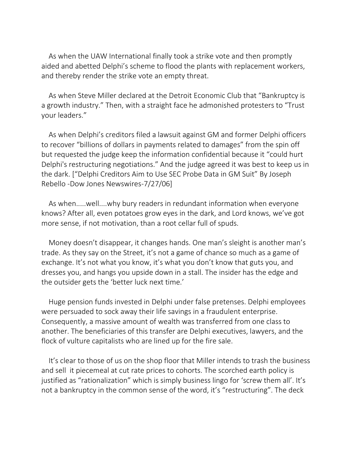As when the UAW International finally took a strike vote and then promptly aided and abetted Delphi's scheme to flood the plants with replacement workers, and thereby render the strike vote an empty threat.

As when Steve Miller declared at the Detroit Economic Club that "Bankruptcy is a growth industry." Then, with a straight face he admonished protesters to "Trust your leaders."

As when Delphi's creditors filed a lawsuit against GM and former Delphi officers to recover "billions of dollars in payments related to damages" from the spin off but requested the judge keep the information confidential because it "could hurt Delphi's restructuring negotiations." And the judge agreed it was best to keep us in the dark. ["Delphi Creditors Aim to Use SEC Probe Data in GM Suit" By Joseph Rebello -Dow Jones Newswires-7/27/06]

As when.....well....why bury readers in redundant information when everyone knows? After all, even potatoes grow eyes in the dark, and Lord knows, we've got more sense, if not motivation, than a root cellar full of spuds.

Money doesn't disappear, it changes hands. One man's sleight is another man's trade. As they say on the Street, it's not a game of chance so much as a game of exchange. It's not what you know, it's what you don't know that guts you, and dresses you, and hangs you upside down in a stall. The insider has the edge and the outsider gets the 'better luck next time.'

Huge pension funds invested in Delphi under false pretenses. Delphi employees were persuaded to sock away their life savings in a fraudulent enterprise. Consequently, a massive amount of wealth was transferred from one class to another. The beneficiaries of this transfer are Delphi executives, lawyers, and the flock of vulture capitalists who are lined up for the fire sale.

It's clear to those of us on the shop floor that Miller intends to trash the business and sell it piecemeal at cut rate prices to cohorts. The scorched earth policy is justified as "rationalization" which is simply business lingo for 'screw them all'. It's not a bankruptcy in the common sense of the word, it's "restructuring". The deck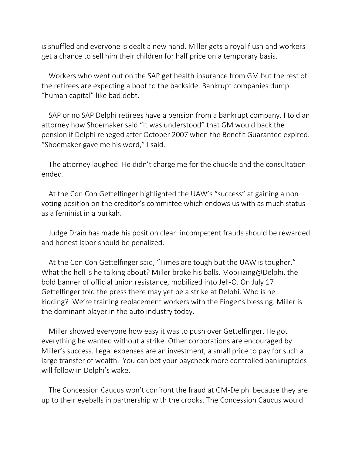is shuffled and everyone is dealt a new hand. Miller gets a royal flush and workers get a chance to sell him their children for half price on a temporary basis.

Workers who went out on the SAP get health insurance from GM but the rest of the retirees are expecting a boot to the backside. Bankrupt companies dump "human capital" like bad debt.

SAP or no SAP Delphi retirees have a pension from a bankrupt company. I told an attorney how Shoemaker said "It was understood" that GM would back the pension if Delphi reneged after October 2007 when the Benefit Guarantee expired. "Shoemaker gave me his word," I said.

The attorney laughed. He didn't charge me for the chuckle and the consultation ended.

At the Con Con Gettelfinger highlighted the UAW's "success" at gaining a non voting position on the creditor's committee which endows us with as much status as a feminist in a burkah.

Judge Drain has made his position clear: incompetent frauds should be rewarded and honest labor should be penalized.

At the Con Con Gettelfinger said, "Times are tough but the UAW is tougher." What the hell is he talking about? Miller broke his balls. Mobilizing@Delphi, the bold banner of official union resistance, mobilized into Jell-O. On July 17 Gettelfinger told the press there may yet be a strike at Delphi. Who is he kidding? We're training replacement workers with the Finger's blessing. Miller is the dominant player in the auto industry today.

Miller showed everyone how easy it was to push over Gettelfinger. He got everything he wanted without a strike. Other corporations are encouraged by Miller's success. Legal expenses are an investment, a small price to pay for such a large transfer of wealth. You can bet your paycheck more controlled bankruptcies will follow in Delphi's wake.

The Concession Caucus won't confront the fraud at GM-Delphi because they are up to their eyeballs in partnership with the crooks. The Concession Caucus would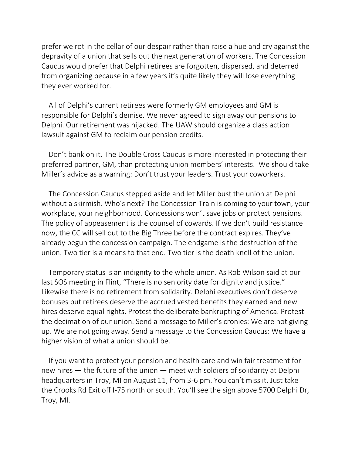prefer we rot in the cellar of our despair rather than raise a hue and cry against the depravity of a union that sells out the next generation of workers. The Concession Caucus would prefer that Delphi retirees are forgotten, dispersed, and deterred from organizing because in a few years it's quite likely they will lose everything they ever worked for.

All of Delphi's current retirees were formerly GM employees and GM is responsible for Delphi's demise. We never agreed to sign away our pensions to Delphi. Our retirement was hijacked. The UAW should organize a class action lawsuit against GM to reclaim our pension credits.

Don't bank on it. The Double Cross Caucus is more interested in protecting their preferred partner, GM, than protecting union members' interests. We should take Miller's advice as a warning: Don't trust your leaders. Trust your coworkers.

The Concession Caucus stepped aside and let Miller bust the union at Delphi without a skirmish. Who's next? The Concession Train is coming to your town, your workplace, your neighborhood. Concessions won't save jobs or protect pensions. The policy of appeasement is the counsel of cowards. If we don't build resistance now, the CC will sell out to the Big Three before the contract expires. They've already begun the concession campaign. The endgame is the destruction of the union. Two tier is a means to that end. Two tier is the death knell of the union.

Temporary status is an indignity to the whole union. As Rob Wilson said at our last SOS meeting in Flint, "There is no seniority date for dignity and justice." Likewise there is no retirement from solidarity. Delphi executives don't deserve bonuses but retirees deserve the accrued vested benefits they earned and new hires deserve equal rights. Protest the deliberate bankrupting of America. Protest the decimation of our union. Send a message to Miller's cronies: We are not giving up. We are not going away. Send a message to the Concession Caucus: We have a higher vision of what a union should be.

If you want to protect your pension and health care and win fair treatment for new hires — the future of the union — meet with soldiers of solidarity at Delphi headquarters in Troy, MI on August 11, from 3-6 pm. You can't miss it. Just take the Crooks Rd Exit off I-75 north or south. You'll see the sign above 5700 Delphi Dr, Troy, MI.